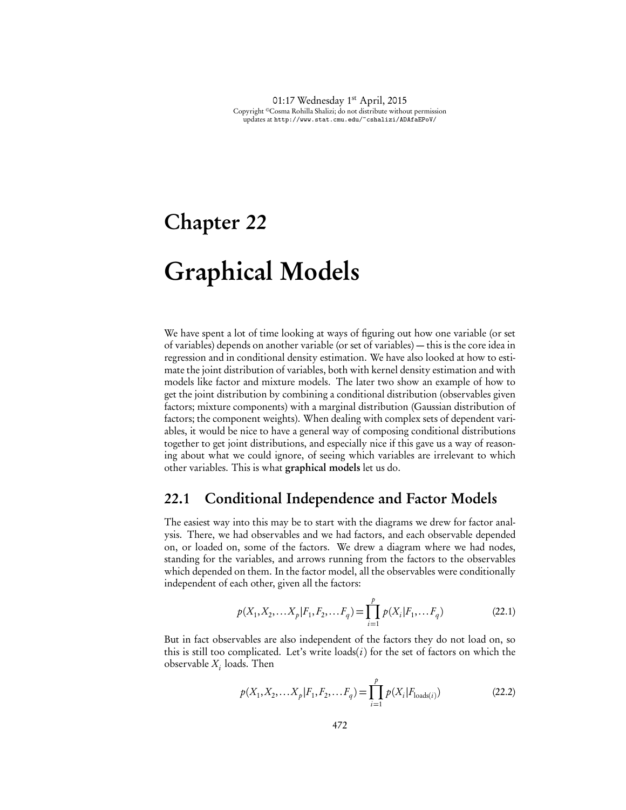# Chapter 22

# Graphical Models

We have spent a lot of time looking at ways of figuring out how one variable (or set of variables) depends on another variable (or set of variables) — this is the core idea in regression and in conditional density estimation. We have also looked at how to estimate the joint distribution of variables, both with kernel density estimation and with models like factor and mixture models. The later two show an example of how to get the joint distribution by combining a conditional distribution (observables given factors; mixture components) with a marginal distribution (Gaussian distribution of factors; the component weights). When dealing with complex sets of dependent variables, it would be nice to have a general way of composing conditional distributions together to get joint distributions, and especially nice if this gave us a way of reasoning about what we could ignore, of seeing which variables are irrelevant to which other variables. This is what graphical models let us do.

### 22.1 Conditional Independence and Factor Models

The easiest way into this may be to start with the diagrams we drew for factor analysis. There, we had observables and we had factors, and each observable depended on, or loaded on, some of the factors. We drew a diagram where we had nodes, standing for the variables, and arrows running from the factors to the observables which depended on them. In the factor model, all the observables were conditionally independent of each other, given all the factors:

$$
p(X_1, X_2, \dots, X_p | F_1, F_2, \dots, F_q) = \prod_{i=1}^p p(X_i | F_1, \dots, F_q)
$$
 (22.1)

But in fact observables are also independent of the factors they do not load on, so this is still too complicated. Let's write  $\text{loads}(i)$  for the set of factors on which the observable *Xi* loads. Then

$$
p(X_1, X_2, \dots, X_p | F_1, F_2, \dots, F_q) = \prod_{i=1}^p p(X_i | F_{\text{loads}(i)})
$$
\n(22.2)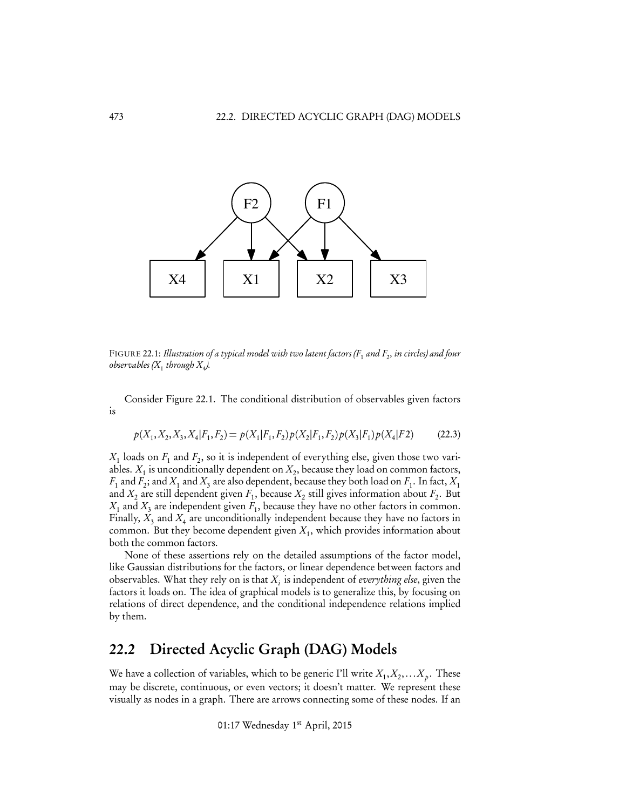

FIGURE 22.1: *Illustration of a typical model with two latent factors (F*<sup>1</sup> *and F*2*, in circles) and four observables (X*<sup>1</sup> *through X*4*).*

Consider Figure 22.1. The conditional distribution of observables given factors is

$$
p(X_1, X_2, X_3, X_4 | F_1, F_2) = p(X_1 | F_1, F_2) p(X_2 | F_1, F_2) p(X_3 | F_1) p(X_4 | F_2)
$$
 (22.3)

 $X_1$  loads on  $F_1$  and  $F_2$ , so it is independent of everything else, given those two variables.  $X_1$  is unconditionally dependent on  $X_2$ , because they load on common factors,  $F_1$  and  $F_2$ ; and  $X_1$  and  $X_3$  are also dependent, because they both load on  $F_1$ . In fact,  $X_1$ and  $X_2$  are still dependent given  $F_1$ , because  $X_2$  still gives information about  $F_2$ . But  $X_1$  and  $X_3$  are independent given  $F_1$ , because they have no other factors in common. Finally,  $X_3$  and  $X_4$  are unconditionally independent because they have no factors in common. But they become dependent given  $X_1$ , which provides information about both the common factors.

None of these assertions rely on the detailed assumptions of the factor model, like Gaussian distributions for the factors, or linear dependence between factors and observables. What they rely on is that *Xi* is independent of *everything else*, given the factors it loads on. The idea of graphical models is to generalize this, by focusing on relations of direct dependence, and the conditional independence relations implied by them.

## 22.2 Directed Acyclic Graph (DAG) Models

We have a collection of variables, which to be generic I'll write  $X_1, X_2, \ldots X_p$ . These may be discrete, continuous, or even vectors; it doesn't matter. We represent these visually as nodes in a graph. There are arrows connecting some of these nodes. If an

01:17 Wednesday 1st April, 2015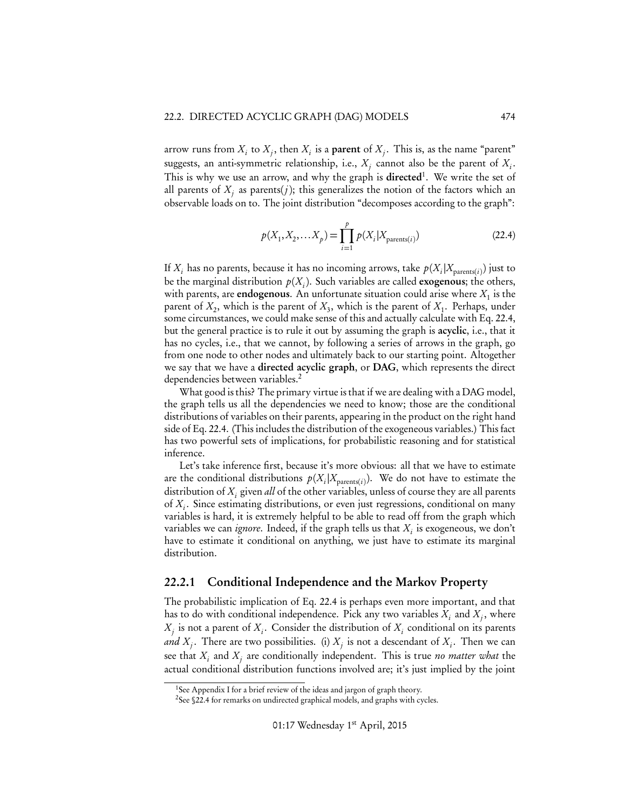arrow runs from  $X_i$  to  $X_j$ , then  $X_i$  is a **parent** of  $X_j$ . This is, as the name "parent" suggests, an anti-symmetric relationship, i.e.,  $X_i$  cannot also be the parent of  $X_i$ . This is why we use an arrow, and why the graph is  $\text{directed}^1$ . We write the set of all parents of  $X_i$  as parents(*j*); this generalizes the notion of the factors which an observable loads on to. The joint distribution "decomposes according to the graph":

$$
p(X_1, X_2, \dots, X_p) = \prod_{i=1}^p p(X_i | X_{\text{parents}(i)})
$$
\n(22.4)

If  $X_i$  has no parents, because it has no incoming arrows, take  $p(X_i|X_{\text{parents}(i)})$  just to be the marginal distribution  $p(X<sub>i</sub>)$ . Such variables are called **exogenous**; the others, with parents, are **endogenous**. An unfortunate situation could arise where  $X_1$  is the parent of  $X_2$ , which is the parent of  $X_3$ , which is the parent of  $X_1$ . Perhaps, under some circumstances, we could make sense of this and actually calculate with Eq. 22.4, but the general practice is to rule it out by assuming the graph is acyclic, i.e., that it has no cycles, i.e., that we cannot, by following a series of arrows in the graph, go from one node to other nodes and ultimately back to our starting point. Altogether we say that we have a directed acyclic graph, or DAG, which represents the direct dependencies between variables.<sup>2</sup>

What good is this? The primary virtue is that if we are dealing with a DAG model, the graph tells us all the dependencies we need to know; those are the conditional distributions of variables on their parents, appearing in the product on the right hand side of Eq. 22.4. (This includes the distribution of the exogeneous variables.) This fact has two powerful sets of implications, for probabilistic reasoning and for statistical inference.

Let's take inference first, because it's more obvious: all that we have to estimate are the conditional distributions  $p(X_i|X_{\text{parents}(i)})$ . We do not have to estimate the distribution of *Xi* given *all* of the other variables, unless of course they are all parents of *Xi* . Since estimating distributions, or even just regressions, conditional on many variables is hard, it is extremely helpful to be able to read off from the graph which variables we can *ignore*. Indeed, if the graph tells us that  $X_i$  is exogeneous, we don't have to estimate it conditional on anything, we just have to estimate its marginal distribution.

#### 22.2.1 Conditional Independence and the Markov Property

The probabilistic implication of Eq. 22.4 is perhaps even more important, and that has to do with conditional independence. Pick any two variables  $X_i$  and  $X_j$ , where  $X_i$  is not a parent of  $X_i$ . Consider the distribution of  $X_i$  conditional on its parents *and*  $X_i$ . There are two possibilities. (i)  $X_i$  is not a descendant of  $X_i$ . Then we can see that *Xi* and *Xj* are conditionally independent. This is true *no matter what* the actual conditional distribution functions involved are; it's just implied by the joint

<sup>&</sup>lt;sup>1</sup>See Appendix I for a brief review of the ideas and jargon of graph theory.

<sup>&</sup>lt;sup>2</sup>See §22.4 for remarks on undirected graphical models, and graphs with cycles.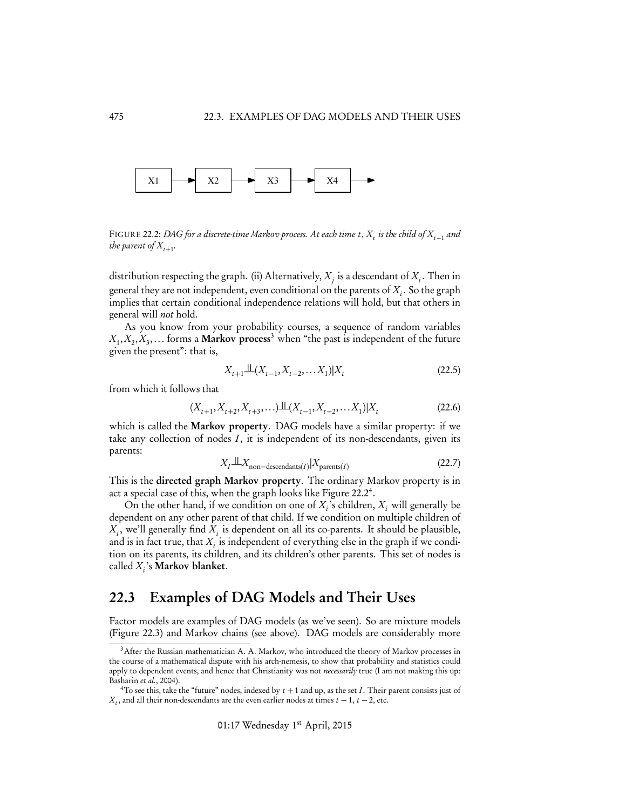

FIGURE 22.2: *DAG for a discrete-time Markov process. At each time t,*  $X_t$  *is the child of*  $X_{t-1}$  *and the parent of*  $X_{t+1}$ *.* 

distribution respecting the graph. (ii) Alternatively,  $X_i$  is a descendant of  $X_i$ . Then in general they are not independent, even conditional on the parents of  $X_i$ . So the graph implies that certain conditional independence relations will hold, but that others in general will *not* hold.

As you know from your probability courses, a sequence of random variables  $X_1, X_2, X_3, \ldots$  forms a **Markov process**<sup>3</sup> when "the past is independent of the future given the present": that is,

$$
X_{t+1} \perp \!\!\!\perp (X_{t-1}, X_{t-2}, \ldots, X_1) | X_t \tag{22.5}
$$

from which it follows that

$$
(X_{t+1}, X_{t+2}, X_{t+3}, \ldots) \perp (X_{t-1}, X_{t-2}, \ldots, X_1) | X_t
$$
\n
$$
(22.6)
$$

which is called the Markov property. DAG models have a similar property: if we take any collection of nodes *I*, it is independent of its non-descendants, given its parents:

$$
X_I \perp X_{\text{non-descendants}(I)} | X_{\text{parents}(I)} \tag{22.7}
$$

This is the directed graph Markov property. The ordinary Markov property is in act a special case of this, when the graph looks like Figure 22.2<sup>4</sup>.

On the other hand, if we condition on one of  $X_i$ 's children,  $X_i$  will generally be dependent on any other parent of that child. If we condition on multiple children of  $X_i$ , we'll generally find  $X_i$  is dependent on all its co-parents. It should be plausible, and is in fact true, that *Xi* is independent of everything else in the graph if we condition on its parents, its children, and its children's other parents. This set of nodes is called *Xi* 's Markov blanket.

# 22.3 Examples of DAG Models and Their Uses

Factor models are examples of DAG models (as we've seen). So are mixture models (Figure 22.3) and Markov chains (see above). DAG models are considerably more

<sup>&</sup>lt;sup>3</sup> After the Russian mathematician A. A. Markov, who introduced the theory of Markov processes in the course of a mathematical dispute with his arch-nemesis, to show that probability and statistics could apply to dependent events, and hence that Christianity was not *necessarily* true (I am not making this up: Basharin *et al.*, 2004).

<sup>&</sup>lt;sup>4</sup>To see this, take the "future" nodes, indexed by  $t + 1$  and up, as the set *I*. Their parent consists just of  $X_t$ , and all their non-descendants are the even earlier nodes at times  $t - 1$ ,  $t - 2$ , etc.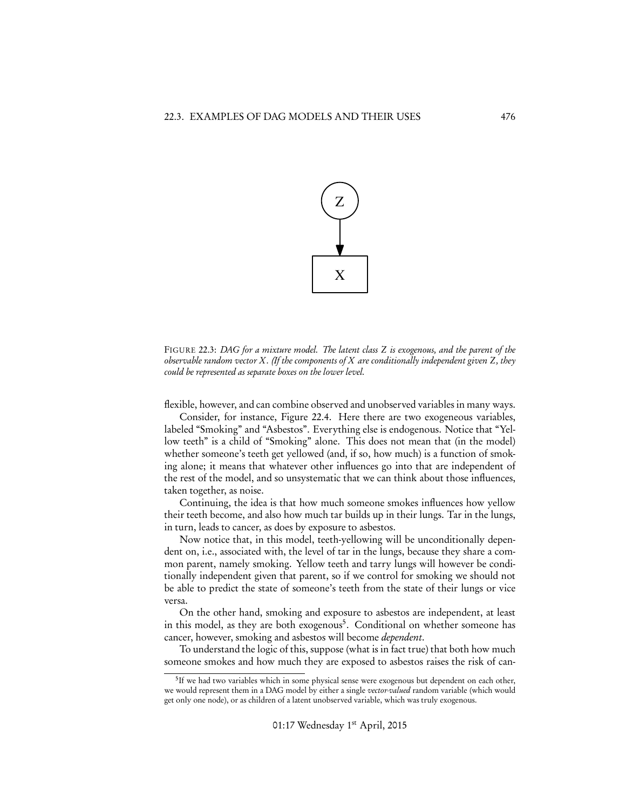

FIGURE 22.3: *DAG for a mixture model. The latent class Z is exogenous, and the parent of the observable random vector X . (If the components of X are conditionally independent given Z, they could be represented as separate boxes on the lower level.*

flexible, however, and can combine observed and unobserved variables in many ways.

Consider, for instance, Figure 22.4. Here there are two exogeneous variables, labeled "Smoking" and "Asbestos". Everything else is endogenous. Notice that "Yellow teeth" is a child of "Smoking" alone. This does not mean that (in the model) whether someone's teeth get yellowed (and, if so, how much) is a function of smoking alone; it means that whatever other influences go into that are independent of the rest of the model, and so unsystematic that we can think about those influences, taken together, as noise.

Continuing, the idea is that how much someone smokes influences how yellow their teeth become, and also how much tar builds up in their lungs. Tar in the lungs, in turn, leads to cancer, as does by exposure to asbestos.

Now notice that, in this model, teeth-yellowing will be unconditionally dependent on, i.e., associated with, the level of tar in the lungs, because they share a common parent, namely smoking. Yellow teeth and tarry lungs will however be conditionally independent given that parent, so if we control for smoking we should not be able to predict the state of someone's teeth from the state of their lungs or vice versa.

On the other hand, smoking and exposure to asbestos are independent, at least in this model, as they are both exogenous<sup>5</sup>. Conditional on whether someone has cancer, however, smoking and asbestos will become *dependent*.

To understand the logic of this, suppose (what is in fact true) that both how much someone smokes and how much they are exposed to asbestos raises the risk of can-

<sup>&</sup>lt;sup>5</sup>If we had two variables which in some physical sense were exogenous but dependent on each other, we would represent them in a DAG model by either a single *vector-valued* random variable (which would get only one node), or as children of a latent unobserved variable, which was truly exogenous.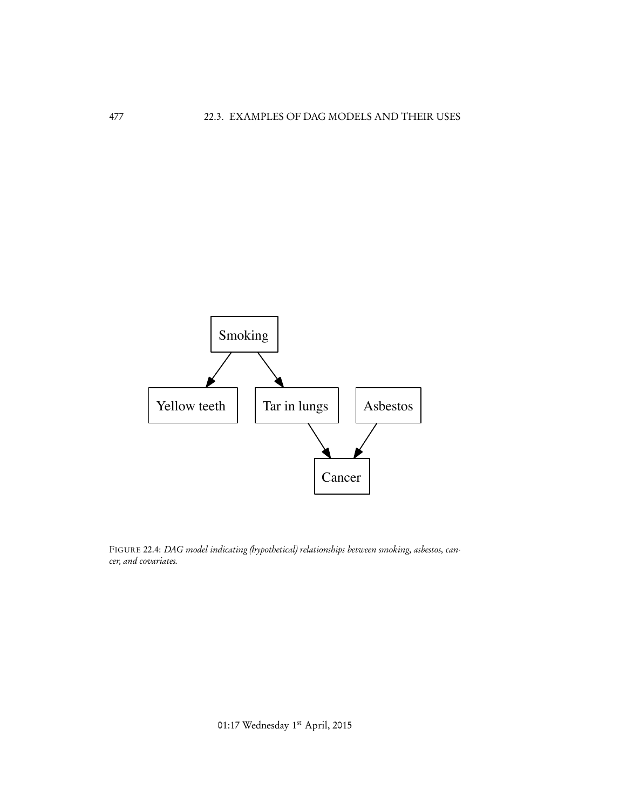

FIGURE 22.4: *DAG model indicating (hypothetical) relationships between smoking, asbestos, cancer, and covariates.*

01:17 Wednesday 1st April, 2015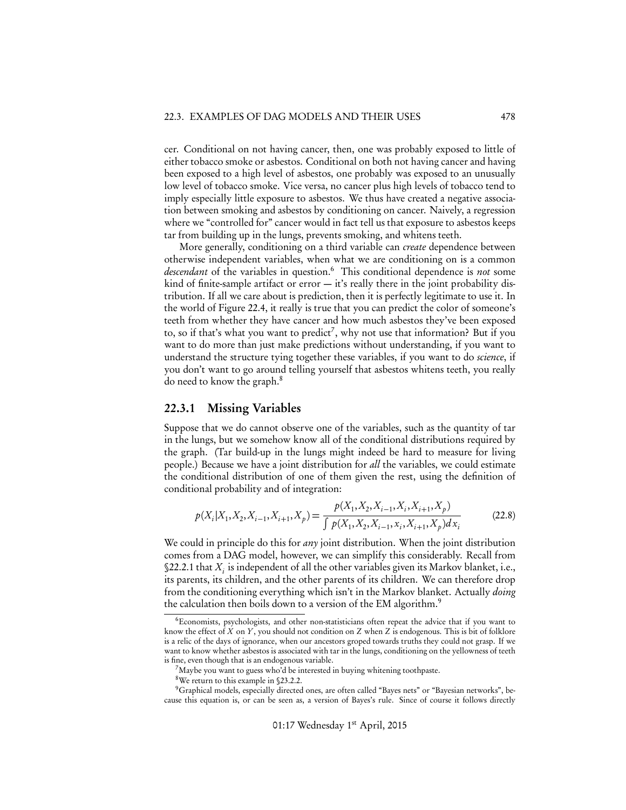cer. Conditional on not having cancer, then, one was probably exposed to little of either tobacco smoke or asbestos. Conditional on both not having cancer and having been exposed to a high level of asbestos, one probably was exposed to an unusually low level of tobacco smoke. Vice versa, no cancer plus high levels of tobacco tend to imply especially little exposure to asbestos. We thus have created a negative association between smoking and asbestos by conditioning on cancer. Naively, a regression where we "controlled for" cancer would in fact tell us that exposure to asbestos keeps tar from building up in the lungs, prevents smoking, and whitens teeth.

More generally, conditioning on a third variable can *create* dependence between otherwise independent variables, when what we are conditioning on is a common *descendant* of the variables in question.6 This conditional dependence is *not* some kind of finite-sample artifact or  $error - it's really there in the joint probability distribution.$ tribution. If all we care about is prediction, then it is perfectly legitimate to use it. In the world of Figure 22.4, it really is true that you can predict the color of someone's teeth from whether they have cancer and how much asbestos they've been exposed to, so if that's what you want to predict<sup>7</sup>, why not use that information? But if you want to do more than just make predictions without understanding, if you want to understand the structure tying together these variables, if you want to do *science*, if you don't want to go around telling yourself that asbestos whitens teeth, you really do need to know the graph.<sup>8</sup>

#### 22.3.1 Missing Variables

Suppose that we do cannot observe one of the variables, such as the quantity of tar in the lungs, but we somehow know all of the conditional distributions required by the graph. (Tar build-up in the lungs might indeed be hard to measure for living people.) Because we have a joint distribution for *all* the variables, we could estimate the conditional distribution of one of them given the rest, using the definition of conditional probability and of integration:

$$
p(X_i|X_1, X_2, X_{i-1}, X_{i+1}, X_p) = \frac{p(X_1, X_2, X_{i-1}, X_i, X_{i+1}, X_p)}{\int p(X_1, X_2, X_{i-1}, x_i, X_{i+1}, X_p) dx_i}
$$
(22.8)

We could in principle do this for *any* joint distribution. When the joint distribution comes from a DAG model, however, we can simplify this considerably. Recall from §22.2.1 that *Xi* is independent of all the other variables given its Markov blanket, i.e., its parents, its children, and the other parents of its children. We can therefore drop from the conditioning everything which isn't in the Markov blanket. Actually *doing* the calculation then boils down to a version of the EM algorithm.<sup>9</sup>

<sup>6</sup>Economists, psychologists, and other non-statisticians often repeat the advice that if you want to know the effect of *X* on *Y*, you should not condition on *Z* when *Z* is endogenous. This is bit of folklore is a relic of the days of ignorance, when our ancestors groped towards truths they could not grasp. If we want to know whether asbestos is associated with tar in the lungs, conditioning on the yellowness of teeth is fine, even though that is an endogenous variable.

<sup>&</sup>lt;sup>7</sup>Maybe you want to guess who'd be interested in buying whitening toothpaste.

<sup>8</sup>We return to this example in §23.2.2.

<sup>9</sup>Graphical models, especially directed ones, are often called "Bayes nets" or "Bayesian networks", because this equation is, or can be seen as, a version of Bayes's rule. Since of course it follows directly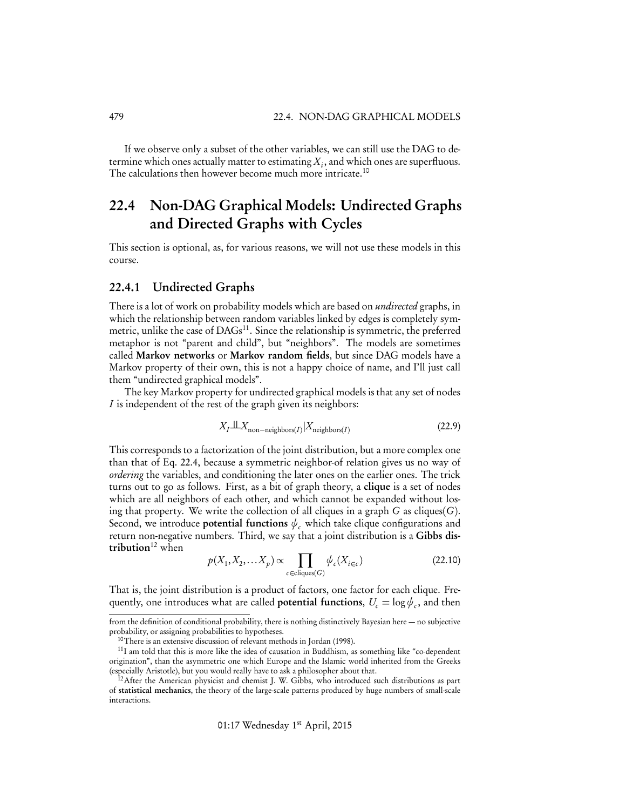If we observe only a subset of the other variables, we can still use the DAG to determine which ones actually matter to estimating  $X_i$ , and which ones are superfluous. The calculations then however become much more intricate.<sup>10</sup>

# 22.4 Non-DAG Graphical Models: Undirected Graphs and Directed Graphs with Cycles

This section is optional, as, for various reasons, we will not use these models in this course.

#### 22.4.1 Undirected Graphs

There is a lot of work on probability models which are based on *undirected* graphs, in which the relationship between random variables linked by edges is completely symmetric, unlike the case of DAGs<sup>11</sup>. Since the relationship is symmetric, the preferred metaphor is not "parent and child", but "neighbors". The models are sometimes called Markov networks or Markov random fields, but since DAG models have a Markov property of their own, this is not a happy choice of name, and I'll just call them "undirected graphical models".

The key Markov property for undirected graphical models is that any set of nodes *I* is independent of the rest of the graph given its neighbors:

$$
X_I \perp L X_{\text{non-neighbors}(I)} | X_{\text{neighbors}(I)} \tag{22.9}
$$

This corresponds to a factorization of the joint distribution, but a more complex one than that of Eq. 22.4, because a symmetric neighbor-of relation gives us no way of *ordering* the variables, and conditioning the later ones on the earlier ones. The trick turns out to go as follows. First, as a bit of graph theory, a clique is a set of nodes which are all neighbors of each other, and which cannot be expanded without losing that property. We write the collection of all cliques in a graph *G* as cliques(*G*). Second, we introduce **potential functions**  $\psi_c$  which take clique configurations and return non-negative numbers. Third, we say that a joint distribution is a Gibbs distribution $12$  when

$$
p(X_1, X_2, \dots, X_p) \propto \prod_{c \in \text{cliques}(G)} \psi_c(X_{i \in c})
$$
\n(22.10)

That is, the joint distribution is a product of factors, one factor for each clique. Frequently, one introduces what are called **potential functions**,  $U_c = \log \psi_c$ , and then

01:17 Wednesday 1st April, 2015

from the definition of conditional probability, there is nothing distinctively Bayesian here — no subjective probability, or assigning probabilities to hypotheses.

<sup>&</sup>lt;sup>10</sup>There is an extensive discussion of relevant methods in Jordan (1998).

 $11$ I am told that this is more like the idea of causation in Buddhism, as something like "co-dependent" origination", than the asymmetric one which Europe and the Islamic world inherited from the Greeks (especially Aristotle), but you would really have to ask a philosopher about that.

<sup>&</sup>lt;sup>12</sup> After the American physicist and chemist J. W. Gibbs, who introduced such distributions as part of statistical mechanics, the theory of the large-scale patterns produced by huge numbers of small-scale interactions.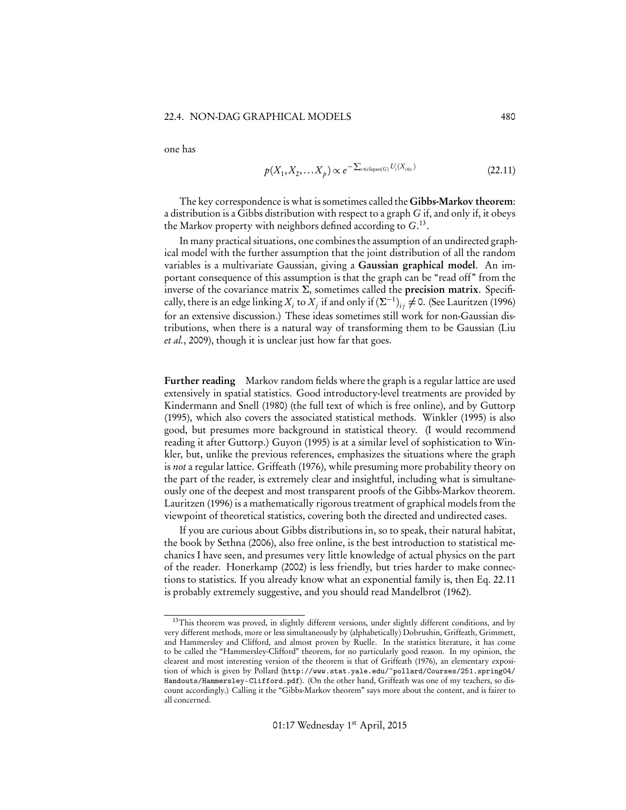one has

$$
p(X_1, X_2, \dots, X_p) \propto e^{-\sum_{c \in \text{cliques}(G)} U_i(X_{i \in c})}
$$
\n(22.11)

The key correspondence is what is sometimes called the Gibbs-Markov theorem: a distribution is a Gibbs distribution with respect to a graph *G* if, and only if, it obeys the Markov property with neighbors defined according to *G*. 13.

In many practical situations, one combines the assumption of an undirected graphical model with the further assumption that the joint distribution of all the random variables is a multivariate Gaussian, giving a Gaussian graphical model. An important consequence of this assumption is that the graph can be "read off" from the inverse of the covariance matrix  $\Sigma$ , sometimes called the precision matrix. Specifically, there is an edge linking  $X_i$  to  $X_j$  if and only if  $(\Sigma^{-1})_{ij} \neq 0$ . (See Lauritzen (1996) for an extensive discussion.) These ideas sometimes still work for non-Gaussian distributions, when there is a natural way of transforming them to be Gaussian (Liu *et al.*, 2009), though it is unclear just how far that goes.

Further reading Markov random fields where the graph is a regular lattice are used extensively in spatial statistics. Good introductory-level treatments are provided by Kindermann and Snell (1980) (the full text of which is free online), and by Guttorp (1995), which also covers the associated statistical methods. Winkler (1995) is also good, but presumes more background in statistical theory. (I would recommend reading it after Guttorp.) Guyon (1995) is at a similar level of sophistication to Winkler, but, unlike the previous references, emphasizes the situations where the graph is *not* a regular lattice. Griffeath (1976), while presuming more probability theory on the part of the reader, is extremely clear and insightful, including what is simultaneously one of the deepest and most transparent proofs of the Gibbs-Markov theorem. Lauritzen (1996) is a mathematically rigorous treatment of graphical models from the viewpoint of theoretical statistics, covering both the directed and undirected cases.

If you are curious about Gibbs distributions in, so to speak, their natural habitat, the book by Sethna (2006), also free online, is the best introduction to statistical mechanics I have seen, and presumes very little knowledge of actual physics on the part of the reader. Honerkamp (2002) is less friendly, but tries harder to make connections to statistics. If you already know what an exponential family is, then Eq. 22.11 is probably extremely suggestive, and you should read Mandelbrot (1962).

 $13$ This theorem was proved, in slightly different versions, under slightly different conditions, and by very different methods, more or less simultaneously by (alphabetically) Dobrushin, Griffeath, Grimmett, and Hammersley and Clifford, and almost proven by Ruelle. In the statistics literature, it has come to be called the "Hammersley-Clifford" theorem, for no particularly good reason. In my opinion, the clearest and most interesting version of the theorem is that of Griffeath (1976), an elementary exposition of which is given by Pollard (http://www.stat.yale.edu/~pollard/Courses/251.spring04/ Handouts/Hammersley-Clifford.pdf). (On the other hand, Griffeath was one of my teachers, so discount accordingly.) Calling it the "Gibbs-Markov theorem" says more about the content, and is fairer to all concerned.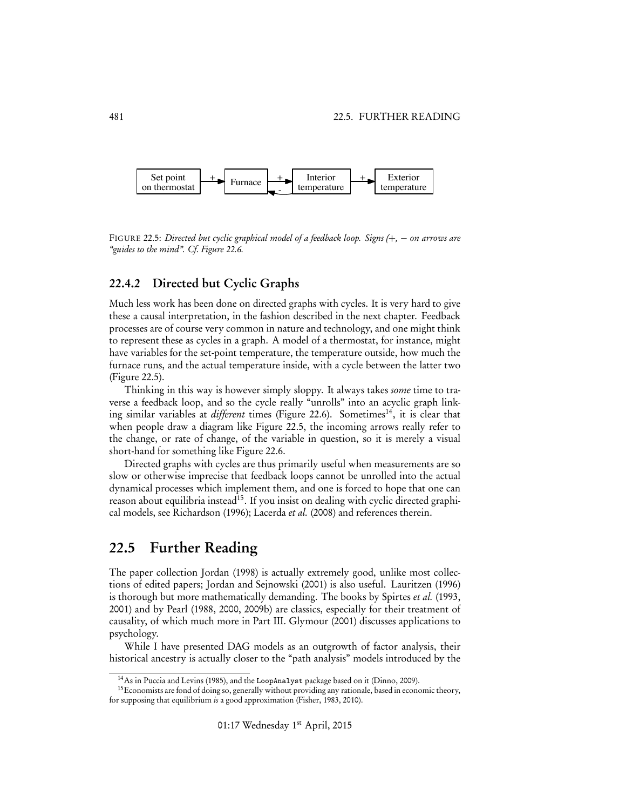

FIGURE 22.5: *Directed but cyclic graphical model of a feedback loop. Signs (*+*, on arrows are "guides to the mind". Cf. Figure 22.6.*

#### 22.4.2 Directed but Cyclic Graphs

Much less work has been done on directed graphs with cycles. It is very hard to give these a causal interpretation, in the fashion described in the next chapter. Feedback processes are of course very common in nature and technology, and one might think to represent these as cycles in a graph. A model of a thermostat, for instance, might have variables for the set-point temperature, the temperature outside, how much the furnace runs, and the actual temperature inside, with a cycle between the latter two (Figure 22.5).

Thinking in this way is however simply sloppy. It always takes *some* time to traverse a feedback loop, and so the cycle really "unrolls" into an acyclic graph linking similar variables at *different* times (Figure 22.6). Sometimes<sup>14</sup>, it is clear that when people draw a diagram like Figure 22.5, the incoming arrows really refer to the change, or rate of change, of the variable in question, so it is merely a visual short-hand for something like Figure 22.6.

Directed graphs with cycles are thus primarily useful when measurements are so slow or otherwise imprecise that feedback loops cannot be unrolled into the actual dynamical processes which implement them, and one is forced to hope that one can reason about equilibria instead<sup>15</sup>. If you insist on dealing with cyclic directed graphical models, see Richardson (1996); Lacerda *et al.* (2008) and references therein.

# 22.5 Further Reading

The paper collection Jordan (1998) is actually extremely good, unlike most collections of edited papers; Jordan and Sejnowski (2001) is also useful. Lauritzen (1996) is thorough but more mathematically demanding. The books by Spirtes *et al.* (1993, 2001) and by Pearl (1988, 2000, 2009b) are classics, especially for their treatment of causality, of which much more in Part III. Glymour (2001) discusses applications to psychology.

While I have presented DAG models as an outgrowth of factor analysis, their historical ancestry is actually closer to the "path analysis" models introduced by the

<sup>&</sup>lt;sup>14</sup>As in Puccia and Levins (1985), and the LoopAnalyst package based on it (Dinno, 2009).<br><sup>15</sup>Economists are fond of doing so, generally without providing any rationale, based in economic theory, for supposing that equilibrium *is* a good approximation (Fisher, 1983, 2010).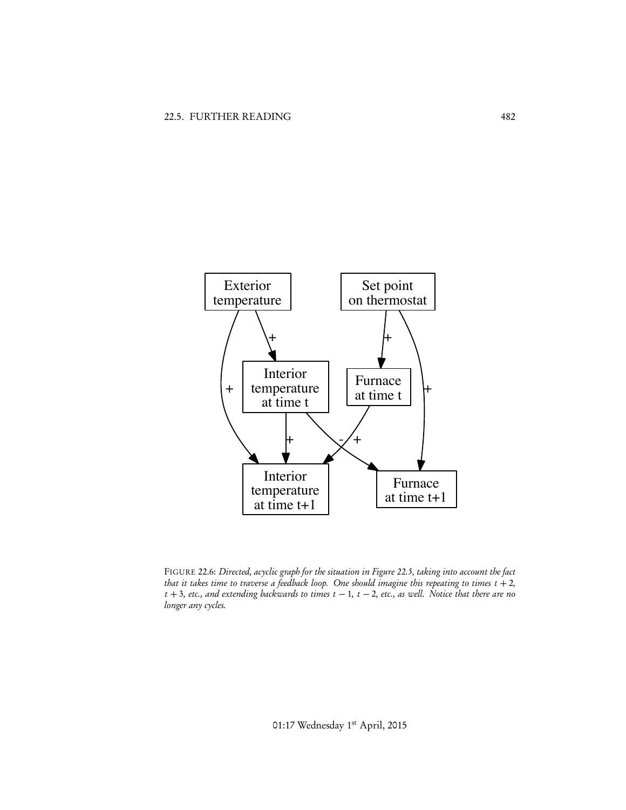

FIGURE 22.6: *Directed, acyclic graph for the situation in Figure 22.5, taking into account the fact that it takes time to traverse a feedback loop. One should imagine this repeating to times*  $t + 2$ *,*  $t + 3$ , etc., and extending backwards to times  $t - 1$ ,  $t - 2$ , etc., as well. Notice that there are no *longer any cycles.*